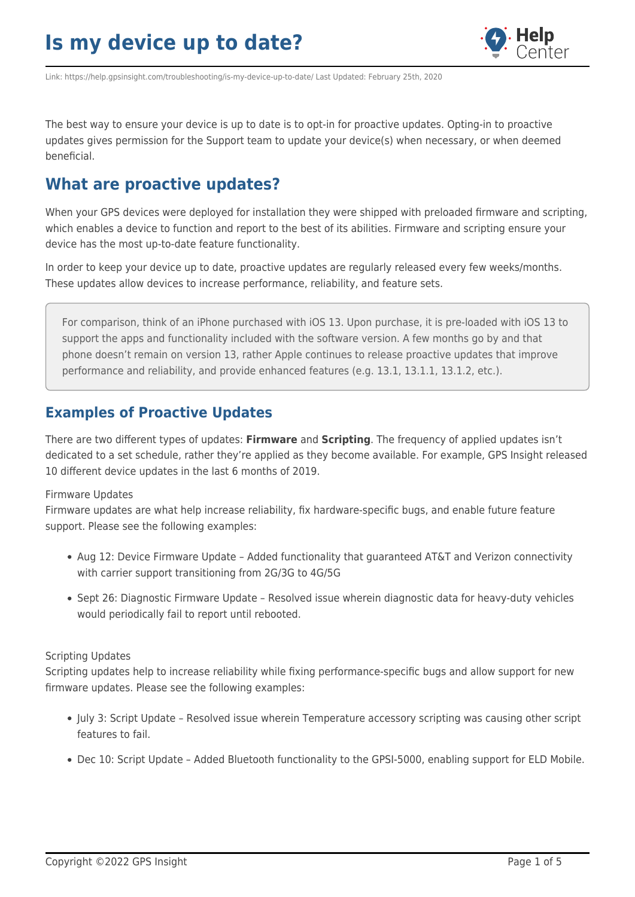

Link: https://help.gpsinsight.com/troubleshooting/is-my-device-up-to-date/ Last Updated: February 25th, 2020

The best way to ensure your device is up to date is to opt-in for proactive updates. Opting-in to proactive updates gives permission for the Support team to update your device(s) when necessary, or when deemed beneficial.

### **What are proactive updates?**

When your GPS devices were deployed for installation they were shipped with preloaded firmware and scripting, which enables a device to function and report to the best of its abilities. Firmware and scripting ensure your device has the most up-to-date feature functionality.

In order to keep your device up to date, proactive updates are regularly released every few weeks/months. These updates allow devices to increase performance, reliability, and feature sets.

For comparison, think of an iPhone purchased with iOS 13. Upon purchase, it is pre-loaded with iOS 13 to support the apps and functionality included with the software version. A few months go by and that phone doesn't remain on version 13, rather Apple continues to release proactive updates that improve performance and reliability, and provide enhanced features (e.g. 13.1, 13.1.1, 13.1.2, etc.).

### **Examples of Proactive Updates**

There are two different types of updates: **Firmware** and **Scripting**. The frequency of applied updates isn't dedicated to a set schedule, rather they're applied as they become available. For example, GPS Insight released 10 different device updates in the last 6 months of 2019.

#### Firmware Updates

Firmware updates are what help increase reliability, fix hardware-specific bugs, and enable future feature support. Please see the following examples:

- Aug 12: Device Firmware Update Added functionality that guaranteed AT&T and Verizon connectivity with carrier support transitioning from 2G/3G to 4G/5G
- Sept 26: Diagnostic Firmware Update Resolved issue wherein diagnostic data for heavy-duty vehicles would periodically fail to report until rebooted.

#### Scripting Updates

Scripting updates help to increase reliability while fixing performance-specific bugs and allow support for new firmware updates. Please see the following examples:

- July 3: Script Update Resolved issue wherein Temperature accessory scripting was causing other script features to fail.
- Dec 10: Script Update Added Bluetooth functionality to the GPSI-5000, enabling support for ELD Mobile.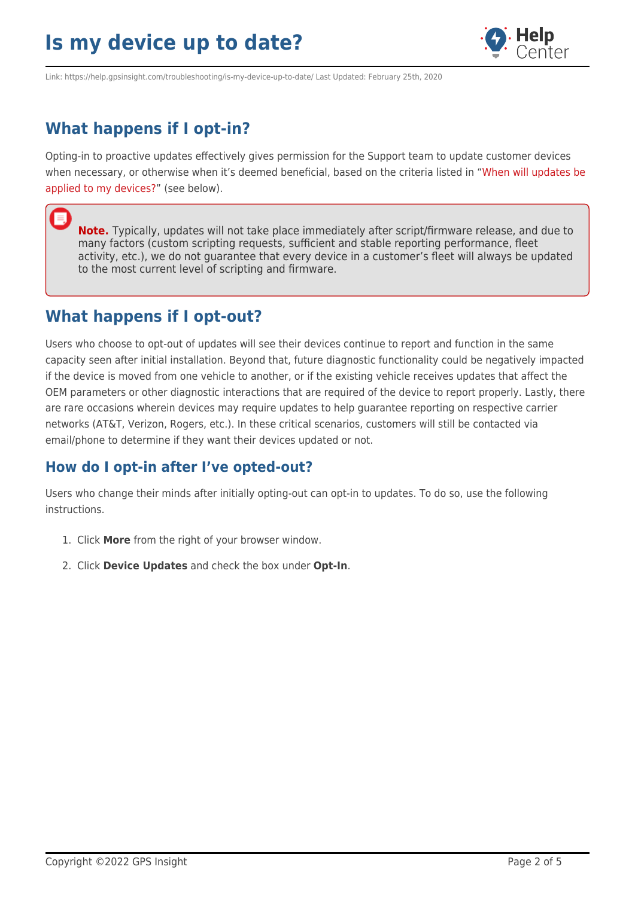

Link: https://help.gpsinsight.com/troubleshooting/is-my-device-up-to-date/ Last Updated: February 25th, 2020

## **What happens if I opt-in?**

Opting-in to proactive updates effectively gives permission for the Support team to update customer devices when necessary, or otherwise when it's deemed beneficial, based on the criteria listed in ["When will updates be](https://help.gpsinsight.com/?post_type=troubleshooting&p=19479&preview=true#cmd_device_toc_19479_8) [applied to my devices?](https://help.gpsinsight.com/?post_type=troubleshooting&p=19479&preview=true#cmd_device_toc_19479_8)" (see below).

**Note.** Typically, updates will not take place immediately after script/firmware release, and due to many factors (custom scripting requests, sufficient and stable reporting performance, fleet activity, etc.), we do not guarantee that every device in a customer's fleet will always be updated to the most current level of scripting and firmware.

### **What happens if I opt-out?**

Users who choose to opt-out of updates will see their devices continue to report and function in the same capacity seen after initial installation. Beyond that, future diagnostic functionality could be negatively impacted if the device is moved from one vehicle to another, or if the existing vehicle receives updates that affect the OEM parameters or other diagnostic interactions that are required of the device to report properly. Lastly, there are rare occasions wherein devices may require updates to help guarantee reporting on respective carrier networks (AT&T, Verizon, Rogers, etc.). In these critical scenarios, customers will still be contacted via email/phone to determine if they want their devices updated or not.

### **How do I opt-in after I've opted-out?**

Users who change their minds after initially opting-out can opt-in to updates. To do so, use the following instructions.

- 1. Click **More** from the right of your browser window.
- 2. Click **Device Updates** and check the box under **Opt-In**.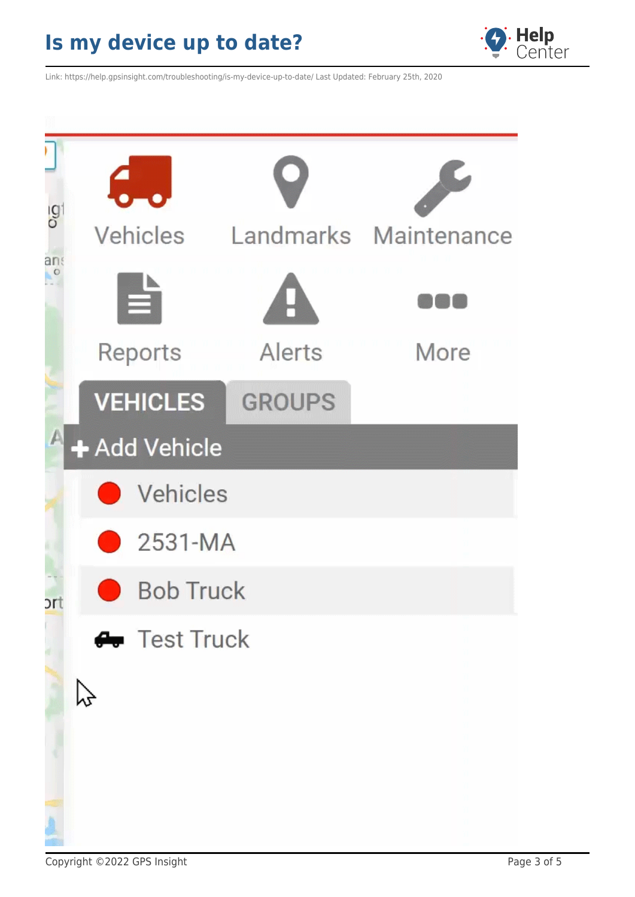

Link: https://help.gpsinsight.com/troubleshooting/is-my-device-up-to-date/ Last Updated: February 25th, 2020



Copyright ©2022 GPS Insight **Page 3 of 5**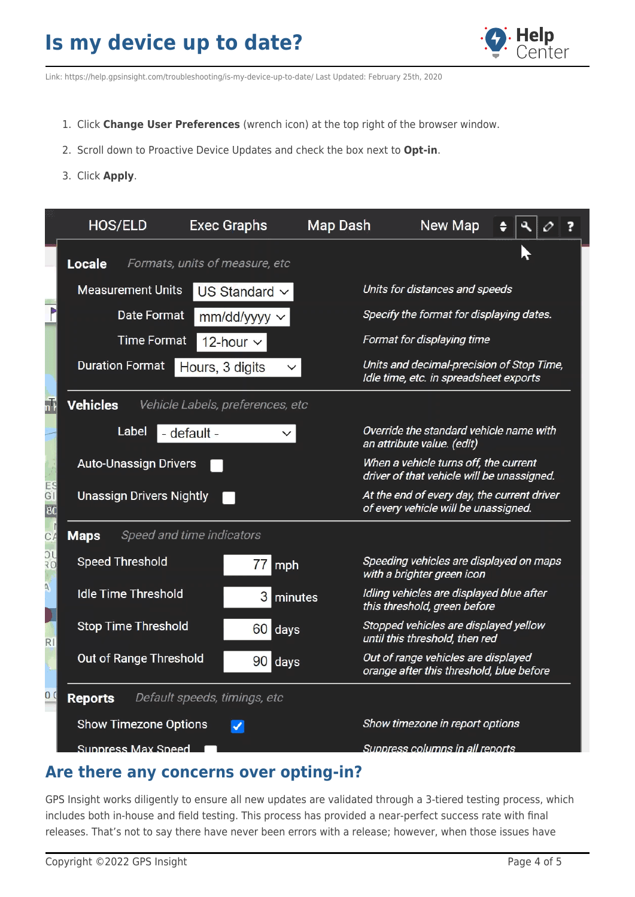

Link: https://help.gpsinsight.com/troubleshooting/is-my-device-up-to-date/ Last Updated: February 25th, 2020

- 1. Click **Change User Preferences** (wrench icon) at the top right of the browser window.
- 2. Scroll down to Proactive Device Updates and check the box next to **Opt-in**.
- 3. Click **Apply**.

|                | <b>HOS/ELD</b>                                 | <b>Exec Graphs</b>               | <b>Map Dash</b> | New Map                                                                             |  |  |
|----------------|------------------------------------------------|----------------------------------|-----------------|-------------------------------------------------------------------------------------|--|--|
|                | <b>Locale</b>                                  | Formats, units of measure, etc   |                 |                                                                                     |  |  |
|                | <b>Measurement Units</b>                       | US Standard $\sim$               |                 | Units for distances and speeds                                                      |  |  |
|                | Date Format<br>mm/dd/yyyy ~                    |                                  |                 | Specify the format for displaying dates.                                            |  |  |
|                | <b>Time Format</b>                             | 12-hour $\sim$                   |                 | Format for displaying time                                                          |  |  |
|                | <b>Duration Format</b>                         | Hours, 3 digits                  |                 | Units and decimal-precision of Stop Time,<br>Idle time, etc. in spreadsheet exports |  |  |
| nT             | <b>Vehicles</b>                                | Vehicle Labels, preferences, etc |                 |                                                                                     |  |  |
|                | Label                                          | - default -                      |                 | Override the standard vehicle name with<br>an attribute value. (edit)               |  |  |
|                | <b>Auto-Unassign Drivers</b>                   |                                  |                 | When a vehicle turns off, the current<br>driver of that vehicle will be unassigned. |  |  |
| ES<br>GI<br>80 | <b>Unassign Drivers Nightly</b>                |                                  |                 | At the end of every day, the current driver<br>of every vehicle will be unassigned. |  |  |
| $C \neq$       | Speed and time indicators<br><b>Maps</b>       |                                  |                 |                                                                                     |  |  |
| $\frac{1}{20}$ | <b>Speed Threshold</b>                         | $77$ mph                         |                 | Speeding vehicles are displayed on maps<br>with a brighter green icon               |  |  |
| Ä              | <b>Idle Time Threshold</b>                     |                                  | 3 minutes       | Idling vehicles are displayed blue after<br>this threshold, green before            |  |  |
| RI             | <b>Stop Time Threshold</b>                     | 60 days                          |                 | Stopped vehicles are displayed yellow<br>until this threshold, then red             |  |  |
|                | Out of Range Threshold                         | 90 days                          |                 | Out of range vehicles are displayed<br>orange after this threshold, blue before     |  |  |
| 0 Q            | Default speeds, timings, etc<br><b>Reports</b> |                                  |                 |                                                                                     |  |  |
|                | <b>Show Timezone Options</b>                   | ✔                                |                 | Show timezone in report options                                                     |  |  |
|                | Suppress Max Speed                             |                                  |                 | Suppress columns in all reports                                                     |  |  |

### **Are there any concerns over opting-in?**

GPS Insight works diligently to ensure all new updates are validated through a 3-tiered testing process, which includes both in-house and field testing. This process has provided a near-perfect success rate with final releases. That's not to say there have never been errors with a release; however, when those issues have